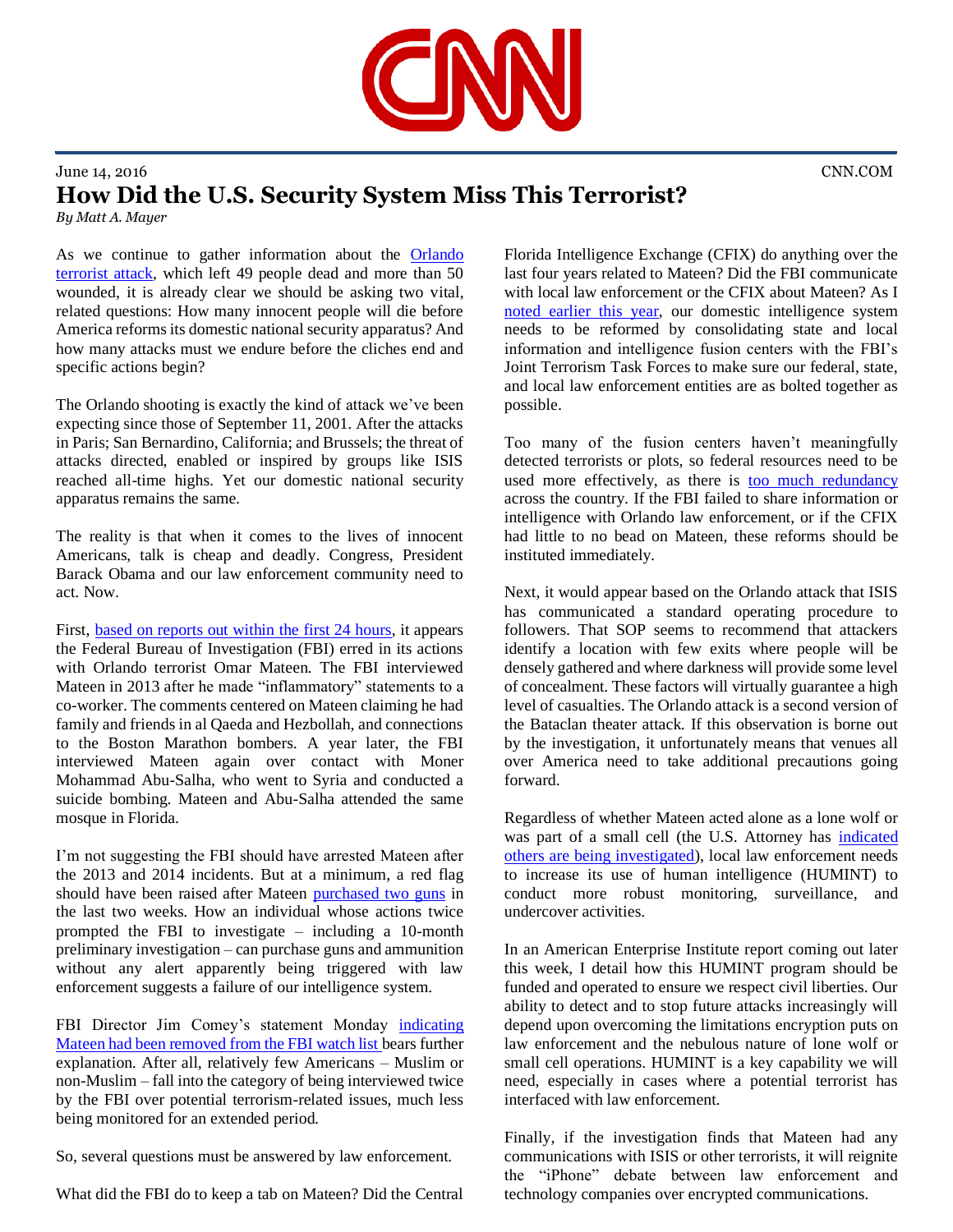

## June 14, 2016 CNN.COM **How Did the U.S. Security System Miss This Terrorist?**

*By Matt A. Mayer*

i

As we continue to gather information about the [Orlando](http://www.cnn.com/2016/06/12/us/orlando-shooting-timeline/index.html)  [terrorist attack,](http://www.cnn.com/2016/06/12/us/orlando-shooting-timeline/index.html) which left 49 people dead and more than 50 wounded, it is already clear we should be asking two vital, related questions: How many innocent people will die before America reforms its domestic national security apparatus? And how many attacks must we endure before the cliches end and specific actions begin?

The Orlando shooting is exactly the kind of attack we've been expecting since those of September 11, 2001. After the attacks in Paris; San Bernardino, California; and Brussels; the threat of attacks directed, enabled or inspired by groups like ISIS reached all-time highs. Yet our domestic national security apparatus remains the same.

The reality is that when it comes to the lives of innocent Americans, talk is cheap and deadly. Congress, President Barack Obama and our law enforcement community need to act. Now.

First, [based on reports out within the first 24 hours,](http://www.cnn.com/2016/06/13/us/orlando-shooter-omar-mateen/index.html) it appears the Federal Bureau of Investigation (FBI) erred in its actions with Orlando terrorist Omar Mateen. The FBI interviewed Mateen in 2013 after he made "inflammatory" statements to a co-worker. The comments centered on Mateen claiming he had family and friends in al Qaeda and Hezbollah, and connections to the Boston Marathon bombers. A year later, the FBI interviewed Mateen again over contact with Moner Mohammad Abu-Salha, who went to Syria and conducted a suicide bombing. Mateen and Abu-Salha attended the same mosque in Florida.

I'm not suggesting the FBI should have arrested Mateen after the 2013 and 2014 incidents. But at a minimum, a red flag should have been raised after Mateen [purchased two guns](http://www.cnn.com/2016/06/12/us/orlando-nightclub-shooting/) in the last two weeks. How an individual whose actions twice prompted the FBI to investigate – including a 10-month preliminary investigation – can purchase guns and ammunition without any alert apparently being triggered with law enforcement suggests a failure of our intelligence system.

FBI Director Jim Comey's statement Monday indicating [Mateen had been removed from the FBI watch list b](http://www.npr.org/sections/thetwo-way/2016/06/13/481889329/orlando-gunman-had-been-taken-off-watch-list-fbi-director-comey-says)ears further explanation. After all, relatively few Americans – Muslim or non-Muslim – fall into the category of being interviewed twice by the FBI over potential terrorism-related issues, much less being monitored for an extended period.

So, several questions must be answered by law enforcement.

What did the FBI do to keep a tab on Mateen? Did the Central

Florida Intelligence Exchange (CFIX) do anything over the last four years related to Mateen? Did the FBI communicate with local law enforcement or the CFIX about Mateen? As I [noted earlier this year,](https://www.aei.org/wp-content/uploads/2016/03/Fusion-Center.pdf) our domestic intelligence system needs to be reformed by consolidating state and local information and intelligence fusion centers with the FBI's Joint Terrorism Task Forces to make sure our federal, state, and local law enforcement entities are as bolted together as possible.

Too many of the fusion centers haven't meaningfully detected terrorists or plots, so federal resources need to be used more effectively, as there is [too much redundancy](https://www.aei.org/wp-content/uploads/2016/03/Fusion_centers_infographic_mar7.png) across the country. If the FBI failed to share information or intelligence with Orlando law enforcement, or if the CFIX had little to no bead on Mateen, these reforms should be instituted immediately.

Next, it would appear based on the Orlando attack that ISIS has communicated a standard operating procedure to followers. That SOP seems to recommend that attackers identify a location with few exits where people will be densely gathered and where darkness will provide some level of concealment. These factors will virtually guarantee a high level of casualties. The Orlando attack is a second version of the Bataclan theater attack. If this observation is borne out by the investigation, it unfortunately means that venues all over America need to take additional precautions going forward.

Regardless of whether Mateen acted alone as a lone wolf or was part of a small cell (the U.S. Attorney has [indicated](http://www.cnn.com/2016/06/13/us/orlando-nightclub-shooting/index.html)  [others are being investigated\)](http://www.cnn.com/2016/06/13/us/orlando-nightclub-shooting/index.html), local law enforcement needs to increase its use of human intelligence (HUMINT) to conduct more robust monitoring, surveillance, and undercover activities.

In an American Enterprise Institute report coming out later this week, I detail how this HUMINT program should be funded and operated to ensure we respect civil liberties. Our ability to detect and to stop future attacks increasingly will depend upon overcoming the limitations encryption puts on law enforcement and the nebulous nature of lone wolf or small cell operations. HUMINT is a key capability we will need, especially in cases where a potential terrorist has interfaced with law enforcement.

Finally, if the investigation finds that Mateen had any communications with ISIS or other terrorists, it will reignite the "iPhone" debate between law enforcement and technology companies over encrypted communications.